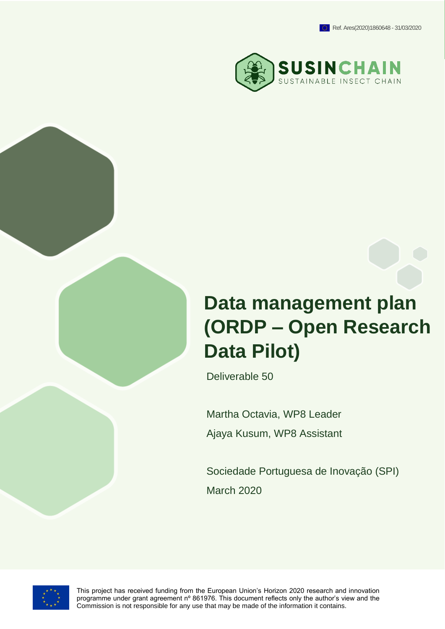

# **Data management plan (ORDP – Open Research Data Pilot)**

Deliverable 50

Martha Octavia, WP8 Leader Ajaya Kusum, WP8 Assistant

Sociedade Portuguesa de Inovação (SPI) March 2020



This project has received funding from the European Union's Horizon 2020 research and innovation programme under grant agreement nº 861976. This document reflects only the author's view and the Commission is not responsible for any use that may be made of the information it contains.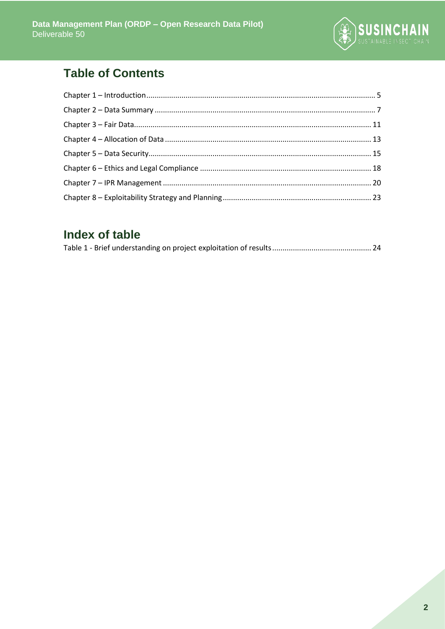

# **Table of Contents**

# Index of table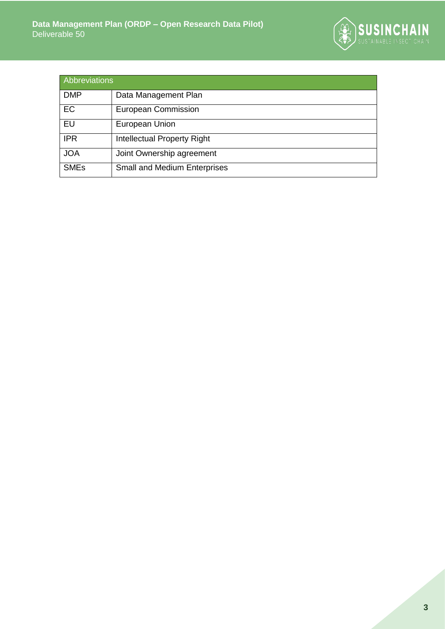

| Abbreviations |                                     |  |  |  |
|---------------|-------------------------------------|--|--|--|
| <b>DMP</b>    | Data Management Plan                |  |  |  |
| EC            | <b>European Commission</b>          |  |  |  |
| EU            | European Union                      |  |  |  |
| <b>IPR</b>    | Intellectual Property Right         |  |  |  |
| <b>JOA</b>    | Joint Ownership agreement           |  |  |  |
| <b>SMEs</b>   | <b>Small and Medium Enterprises</b> |  |  |  |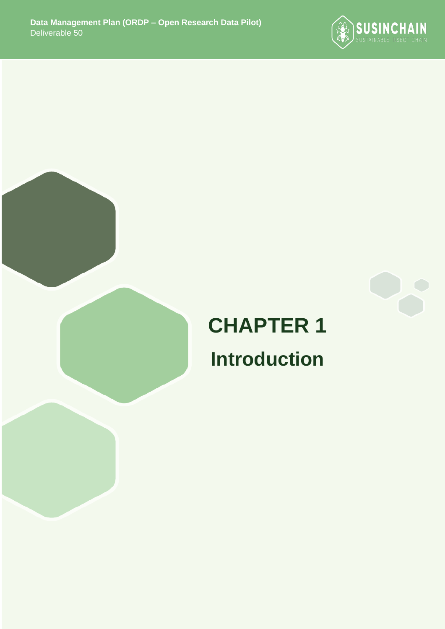



# **CHAPTER 1 Introduction**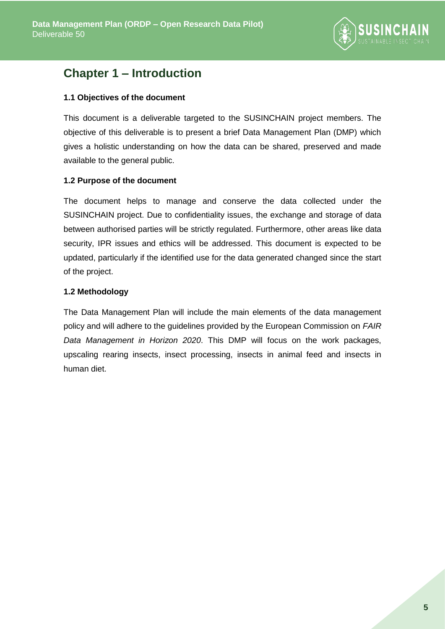

# <span id="page-4-0"></span>**Chapter 1 – Introduction**

### **1.1 Objectives of the document**

This document is a deliverable targeted to the SUSINCHAIN project members. The objective of this deliverable is to present a brief Data Management Plan (DMP) which gives a holistic understanding on how the data can be shared, preserved and made available to the general public.

### **1.2 Purpose of the document**

The document helps to manage and conserve the data collected under the SUSINCHAIN project. Due to confidentiality issues, the exchange and storage of data between authorised parties will be strictly regulated. Furthermore, other areas like data security, IPR issues and ethics will be addressed. This document is expected to be updated, particularly if the identified use for the data generated changed since the start of the project.

### **1.2 Methodology**

The Data Management Plan will include the main elements of the data management policy and will adhere to the guidelines provided by the European Commission on *FAIR Data Management in Horizon 2020*. This DMP will focus on the work packages, upscaling rearing insects, insect processing, insects in animal feed and insects in human diet.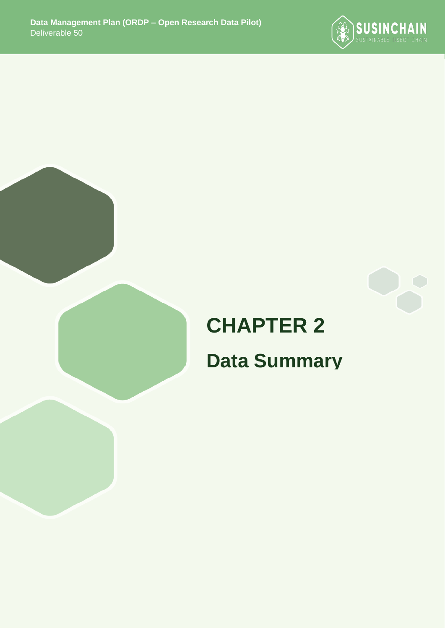



# **CHAPTER 2 Data Summary**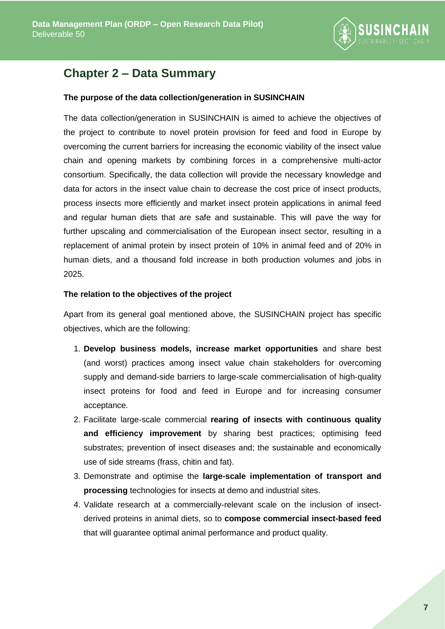

# <span id="page-6-0"></span>**Chapter 2 – Data Summary**

#### **The purpose of the data collection/generation in SUSINCHAIN**

The data collection/generation in SUSINCHAIN is aimed to achieve the objectives of the project to contribute to novel protein provision for feed and food in Europe by overcoming the current barriers for increasing the economic viability of the insect value chain and opening markets by combining forces in a comprehensive multi-actor consortium. Specifically, the data collection will provide the necessary knowledge and data for actors in the insect value chain to decrease the cost price of insect products, process insects more efficiently and market insect protein applications in animal feed and regular human diets that are safe and sustainable. This will pave the way for further upscaling and commercialisation of the European insect sector, resulting in a replacement of animal protein by insect protein of 10% in animal feed and of 20% in human diets, and a thousand fold increase in both production volumes and jobs in 2025.

#### **The relation to the objectives of the project**

Apart from its general goal mentioned above, the SUSINCHAIN project has specific objectives, which are the following:

- 1. **Develop business models, increase market opportunities** and share best (and worst) practices among insect value chain stakeholders for overcoming supply and demand-side barriers to large-scale commercialisation of high-quality insect proteins for food and feed in Europe and for increasing consumer acceptance.
- 2. Facilitate large-scale commercial **rearing of insects with continuous quality and efficiency improvement** by sharing best practices; optimising feed substrates; prevention of insect diseases and; the sustainable and economically use of side streams (frass, chitin and fat).
- 3. Demonstrate and optimise the **large-scale implementation of transport and processing** technologies for insects at demo and industrial sites.
- 4. Validate research at a commercially-relevant scale on the inclusion of insectderived proteins in animal diets, so to **compose commercial insect-based feed** that will guarantee optimal animal performance and product quality.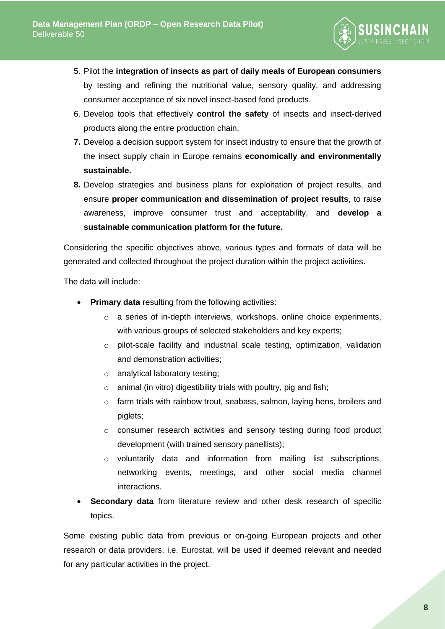

- 5. Pilot the **integration of insects as part of daily meals of European consumers** by testing and refining the nutritional value, sensory quality, and addressing consumer acceptance of six novel insect-based food products.
- 6. Develop tools that effectively **control the safety** of insects and insect-derived products along the entire production chain.
- **7.** Develop a decision support system for insect industry to ensure that the growth of the insect supply chain in Europe remains **economically and environmentally sustainable.**
- **8.** Develop strategies and business plans for exploitation of project results, and ensure **proper communication and dissemination of project results**, to raise awareness, improve consumer trust and acceptability, and **develop a sustainable communication platform for the future.**

Considering the specific objectives above, various types and formats of data will be generated and collected throughout the project duration within the project activities.

The data will include:

- **Primary data** resulting from the following activities:
	- o a series of in-depth interviews, workshops, online choice experiments, with various groups of selected stakeholders and key experts;
	- o pilot-scale facility and industrial scale testing, optimization, validation and demonstration activities;
	- o analytical laboratory testing;
	- $\circ$  animal (in vitro) digestibility trials with poultry, pig and fish;
	- o farm trials with rainbow trout, seabass, salmon, laying hens, broilers and piglets;
	- o consumer research activities and sensory testing during food product development (with trained sensory panellists);
	- o voluntarily data and information from mailing list subscriptions, networking events, meetings, and other social media channel interactions.
- **Secondary data** from literature review and other desk research of specific topics.

Some existing public data from previous or on-going European projects and other research or data providers, i.e. Eurostat, will be used if deemed relevant and needed for any particular activities in the project.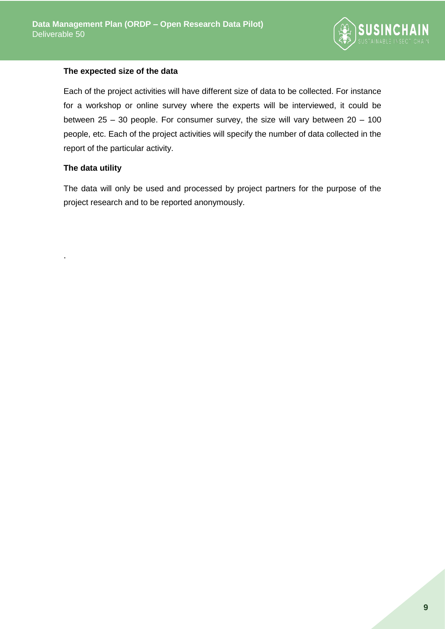

#### **The expected size of the data**

Each of the project activities will have different size of data to be collected. For instance for a workshop or online survey where the experts will be interviewed, it could be between  $25 - 30$  people. For consumer survey, the size will vary between  $20 - 100$ people, etc. Each of the project activities will specify the number of data collected in the report of the particular activity.

## **The data utility**

.

The data will only be used and processed by project partners for the purpose of the project research and to be reported anonymously.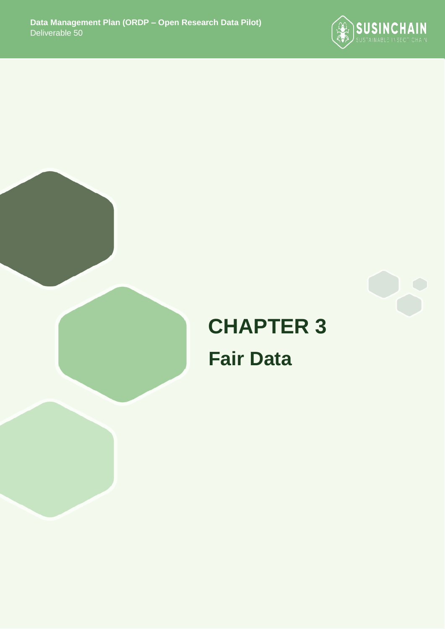



# **CHAPTER 3 Fair Data**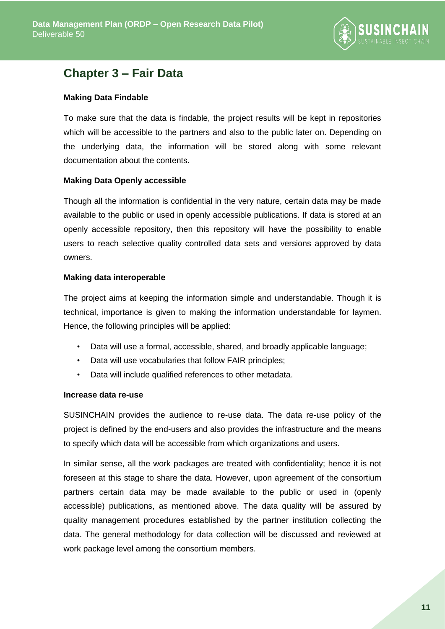

# <span id="page-10-0"></span>**Chapter 3 – Fair Data**

### **Making Data Findable**

To make sure that the data is findable, the project results will be kept in repositories which will be accessible to the partners and also to the public later on. Depending on the underlying data, the information will be stored along with some relevant documentation about the contents.

### **Making Data Openly accessible**

Though all the information is confidential in the very nature, certain data may be made available to the public or used in openly accessible publications. If data is stored at an openly accessible repository, then this repository will have the possibility to enable users to reach selective quality controlled data sets and versions approved by data owners.

### **Making data interoperable**

The project aims at keeping the information simple and understandable. Though it is technical, importance is given to making the information understandable for laymen. Hence, the following principles will be applied:

- Data will use a formal, accessible, shared, and broadly applicable language;
- Data will use vocabularies that follow FAIR principles;
- Data will include qualified references to other metadata.

#### **Increase data re-use**

SUSINCHAIN provides the audience to re-use data. The data re-use policy of the project is defined by the end-users and also provides the infrastructure and the means to specify which data will be accessible from which organizations and users.

In similar sense, all the work packages are treated with confidentiality; hence it is not foreseen at this stage to share the data. However, upon agreement of the consortium partners certain data may be made available to the public or used in (openly accessible) publications, as mentioned above. The data quality will be assured by quality management procedures established by the partner institution collecting the data. The general methodology for data collection will be discussed and reviewed at work package level among the consortium members.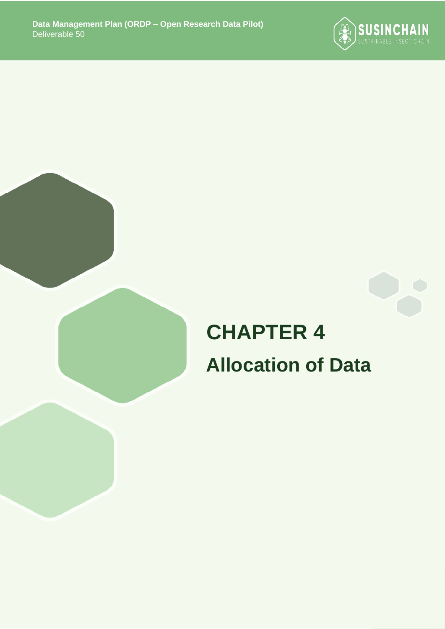

# **CHAPTER 4 Allocation of Data**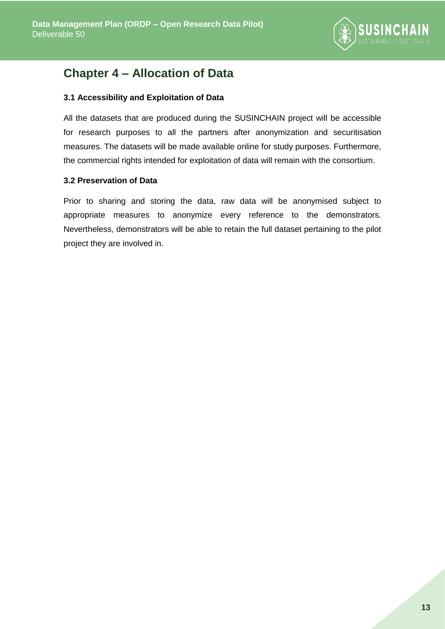

# <span id="page-12-0"></span>**Chapter 4 – Allocation of Data**

### **3.1 Accessibility and Exploitation of Data**

All the datasets that are produced during the SUSINCHAIN project will be accessible for research purposes to all the partners after anonymization and securitisation measures. The datasets will be made available online for study purposes. Furthermore, the commercial rights intended for exploitation of data will remain with the consortium.

#### **3.2 Preservation of Data**

Prior to sharing and storing the data, raw data will be anonymised subject to appropriate measures to anonymize every reference to the demonstrators. Nevertheless, demonstrators will be able to retain the full dataset pertaining to the pilot project they are involved in.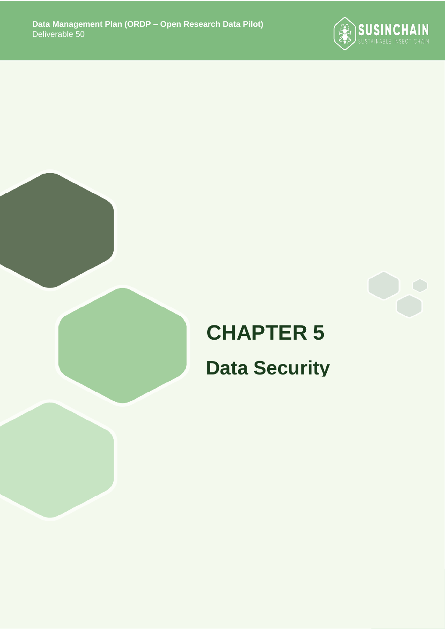



# **CHAPTER 5 Data Security**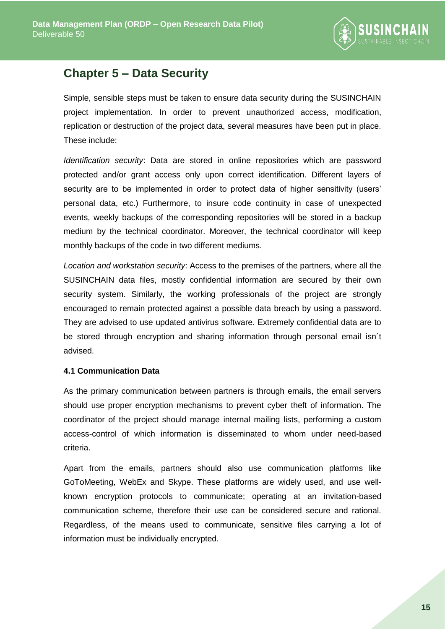

# <span id="page-14-0"></span>**Chapter 5 – Data Security**

Simple, sensible steps must be taken to ensure data security during the SUSINCHAIN project implementation. In order to prevent unauthorized access, modification, replication or destruction of the project data, several measures have been put in place. These include:

*Identification security*: Data are stored in online repositories which are password protected and/or grant access only upon correct identification. Different layers of security are to be implemented in order to protect data of higher sensitivity (users' personal data, etc.) Furthermore, to insure code continuity in case of unexpected events, weekly backups of the corresponding repositories will be stored in a backup medium by the technical coordinator. Moreover, the technical coordinator will keep monthly backups of the code in two different mediums.

*Location and workstation security*: Access to the premises of the partners, where all the SUSINCHAIN data files, mostly confidential information are secured by their own security system. Similarly, the working professionals of the project are strongly encouraged to remain protected against a possible data breach by using a password. They are advised to use updated antivirus software. Extremely confidential data are to be stored through encryption and sharing information through personal email isn´t advised.

## **4.1 Communication Data**

As the primary communication between partners is through emails, the email servers should use proper encryption mechanisms to prevent cyber theft of information. The coordinator of the project should manage internal mailing lists, performing a custom access-control of which information is disseminated to whom under need-based criteria.

Apart from the emails, partners should also use communication platforms like GoToMeeting, WebEx and Skype. These platforms are widely used, and use wellknown encryption protocols to communicate; operating at an invitation-based communication scheme, therefore their use can be considered secure and rational. Regardless, of the means used to communicate, sensitive files carrying a lot of information must be individually encrypted.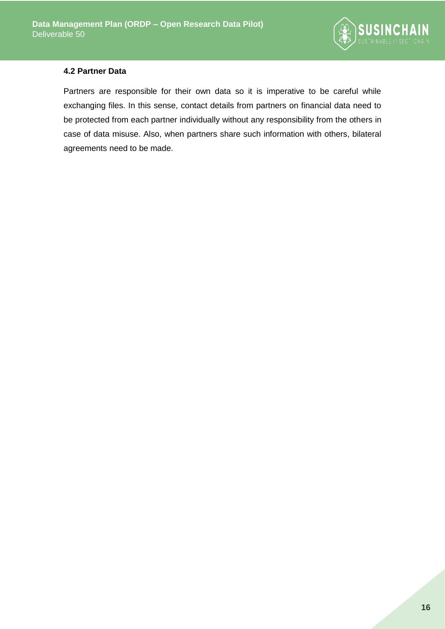

#### **4.2 Partner Data**

Partners are responsible for their own data so it is imperative to be careful while exchanging files. In this sense, contact details from partners on financial data need to be protected from each partner individually without any responsibility from the others in case of data misuse. Also, when partners share such information with others, bilateral agreements need to be made.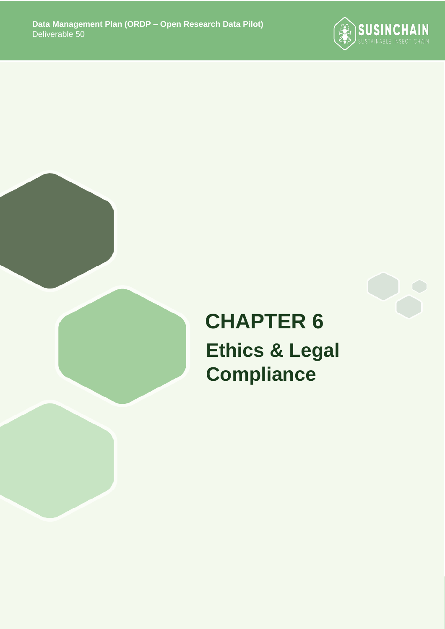



# **CHAPTER 6 Ethics & Legal Compliance**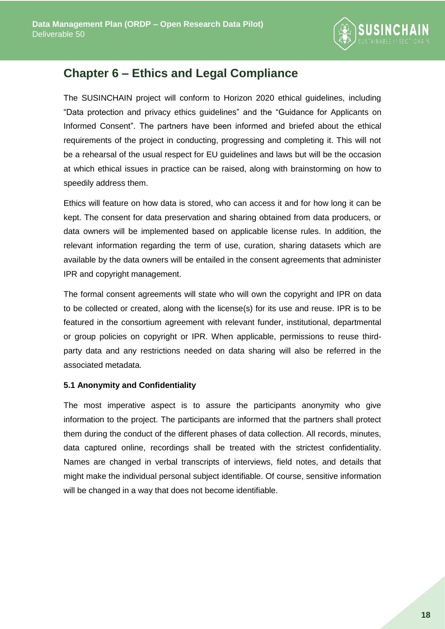

# <span id="page-17-0"></span>**Chapter 6 – Ethics and Legal Compliance**

The SUSINCHAIN project will conform to Horizon 2020 ethical guidelines, including "Data protection and privacy ethics guidelines" and the "Guidance for Applicants on Informed Consent". The partners have been informed and briefed about the ethical requirements of the project in conducting, progressing and completing it. This will not be a rehearsal of the usual respect for EU guidelines and laws but will be the occasion at which ethical issues in practice can be raised, along with brainstorming on how to speedily address them.

Ethics will feature on how data is stored, who can access it and for how long it can be kept. The consent for data preservation and sharing obtained from data producers, or data owners will be implemented based on applicable license rules. In addition, the relevant information regarding the term of use, curation, sharing datasets which are available by the data owners will be entailed in the consent agreements that administer IPR and copyright management.

The formal consent agreements will state who will own the copyright and IPR on data to be collected or created, along with the license(s) for its use and reuse. IPR is to be featured in the consortium agreement with relevant funder, institutional, departmental or group policies on copyright or IPR. When applicable, permissions to reuse thirdparty data and any restrictions needed on data sharing will also be referred in the associated metadata.

## **5.1 Anonymity and Confidentiality**

The most imperative aspect is to assure the participants anonymity who give information to the project. The participants are informed that the partners shall protect them during the conduct of the different phases of data collection. All records, minutes, data captured online, recordings shall be treated with the strictest confidentiality. Names are changed in verbal transcripts of interviews, field notes, and details that might make the individual personal subject identifiable. Of course, sensitive information will be changed in a way that does not become identifiable.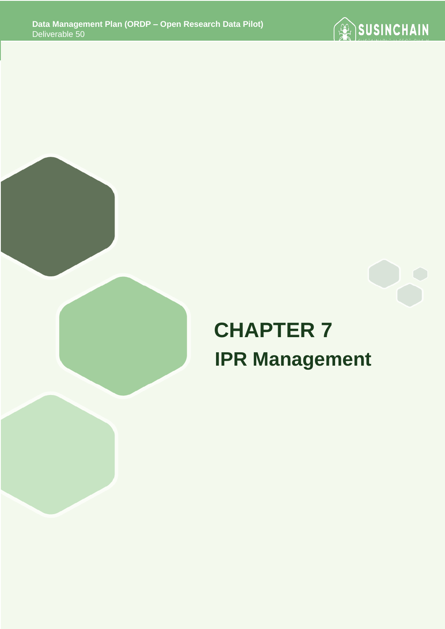



# **CHAPTER 7 IPR Management**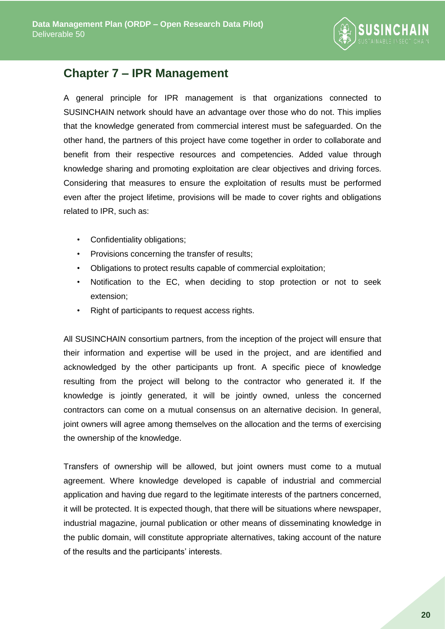

# <span id="page-19-0"></span>**Chapter 7 – IPR Management**

A general principle for IPR management is that organizations connected to SUSINCHAIN network should have an advantage over those who do not. This implies that the knowledge generated from commercial interest must be safeguarded. On the other hand, the partners of this project have come together in order to collaborate and benefit from their respective resources and competencies. Added value through knowledge sharing and promoting exploitation are clear objectives and driving forces. Considering that measures to ensure the exploitation of results must be performed even after the project lifetime, provisions will be made to cover rights and obligations related to IPR, such as:

- Confidentiality obligations;
- Provisions concerning the transfer of results;
- Obligations to protect results capable of commercial exploitation;
- Notification to the EC, when deciding to stop protection or not to seek extension;
- Right of participants to request access rights.

All SUSINCHAIN consortium partners, from the inception of the project will ensure that their information and expertise will be used in the project, and are identified and acknowledged by the other participants up front. A specific piece of knowledge resulting from the project will belong to the contractor who generated it. If the knowledge is jointly generated, it will be jointly owned, unless the concerned contractors can come on a mutual consensus on an alternative decision. In general, joint owners will agree among themselves on the allocation and the terms of exercising the ownership of the knowledge.

Transfers of ownership will be allowed, but joint owners must come to a mutual agreement. Where knowledge developed is capable of industrial and commercial application and having due regard to the legitimate interests of the partners concerned, it will be protected. It is expected though, that there will be situations where newspaper, industrial magazine, journal publication or other means of disseminating knowledge in the public domain, will constitute appropriate alternatives, taking account of the nature of the results and the participants' interests.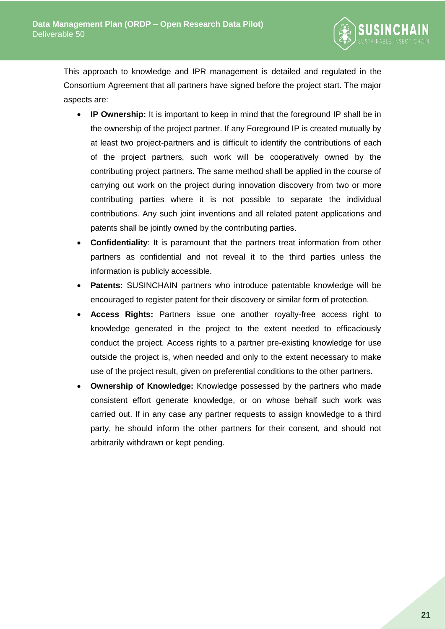

This approach to knowledge and IPR management is detailed and regulated in the Consortium Agreement that all partners have signed before the project start. The major aspects are:

- **IP Ownership:** It is important to keep in mind that the foreground IP shall be in the ownership of the project partner. If any Foreground IP is created mutually by at least two project-partners and is difficult to identify the contributions of each of the project partners, such work will be cooperatively owned by the contributing project partners. The same method shall be applied in the course of carrying out work on the project during innovation discovery from two or more contributing parties where it is not possible to separate the individual contributions. Any such joint inventions and all related patent applications and patents shall be jointly owned by the contributing parties.
- **Confidentiality**: It is paramount that the partners treat information from other partners as confidential and not reveal it to the third parties unless the information is publicly accessible.
- **Patents:** SUSINCHAIN partners who introduce patentable knowledge will be encouraged to register patent for their discovery or similar form of protection.
- **Access Rights:** Partners issue one another royalty-free access right to knowledge generated in the project to the extent needed to efficaciously conduct the project. Access rights to a partner pre-existing knowledge for use outside the project is, when needed and only to the extent necessary to make use of the project result, given on preferential conditions to the other partners.
- **Ownership of Knowledge:** Knowledge possessed by the partners who made consistent effort generate knowledge, or on whose behalf such work was carried out. If in any case any partner requests to assign knowledge to a third party, he should inform the other partners for their consent, and should not arbitrarily withdrawn or kept pending.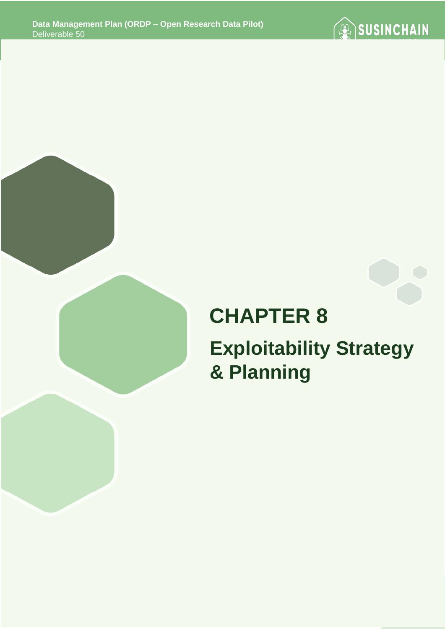



# **CHAPTER 8**

# **Exploitability Strategy & Planning**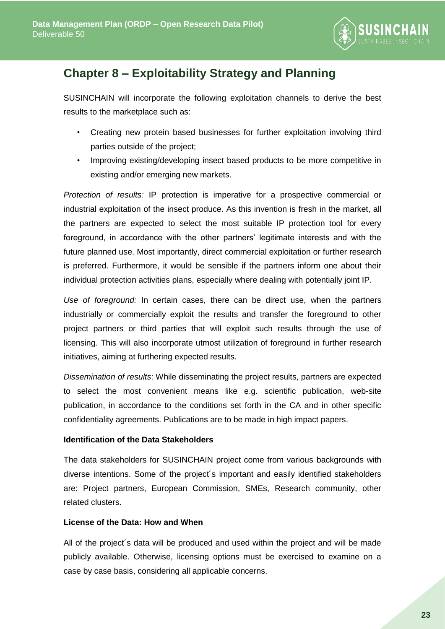

# <span id="page-22-0"></span>**Chapter 8 – Exploitability Strategy and Planning**

SUSINCHAIN will incorporate the following exploitation channels to derive the best results to the marketplace such as:

- Creating new protein based businesses for further exploitation involving third parties outside of the project;
- Improving existing/developing insect based products to be more competitive in existing and/or emerging new markets.

*Protection of results:* IP protection is imperative for a prospective commercial or industrial exploitation of the insect produce. As this invention is fresh in the market, all the partners are expected to select the most suitable IP protection tool for every foreground, in accordance with the other partners' legitimate interests and with the future planned use. Most importantly, direct commercial exploitation or further research is preferred. Furthermore, it would be sensible if the partners inform one about their individual protection activities plans, especially where dealing with potentially joint IP.

*Use of foreground:* In certain cases, there can be direct use, when the partners industrially or commercially exploit the results and transfer the foreground to other project partners or third parties that will exploit such results through the use of licensing. This will also incorporate utmost utilization of foreground in further research initiatives, aiming at furthering expected results.

*Dissemination of results*: While disseminating the project results, partners are expected to select the most convenient means like e.g. scientific publication, web-site publication, in accordance to the conditions set forth in the CA and in other specific confidentiality agreements. Publications are to be made in high impact papers.

## **Identification of the Data Stakeholders**

The data stakeholders for SUSINCHAIN project come from various backgrounds with diverse intentions. Some of the project´s important and easily identified stakeholders are: Project partners, European Commission, SMEs, Research community, other related clusters.

## **License of the Data: How and When**

All of the project´s data will be produced and used within the project and will be made publicly available. Otherwise, licensing options must be exercised to examine on a case by case basis, considering all applicable concerns.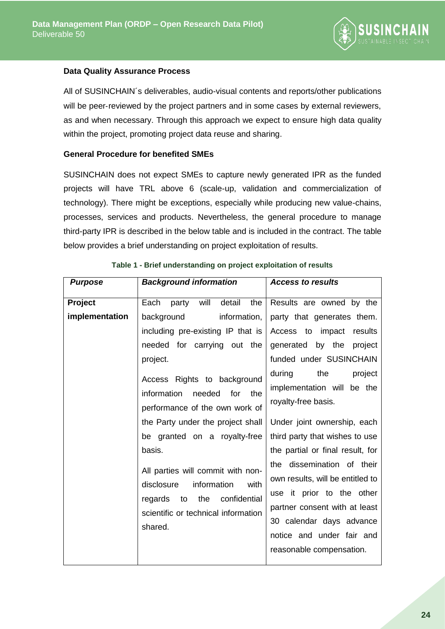

#### **Data Quality Assurance Process**

All of SUSINCHAIN´s deliverables, audio-visual contents and reports/other publications will be peer-reviewed by the project partners and in some cases by external reviewers, as and when necessary. Through this approach we expect to ensure high data quality within the project, promoting project data reuse and sharing.

#### **General Procedure for benefited SMEs**

SUSINCHAIN does not expect SMEs to capture newly generated IPR as the funded projects will have TRL above 6 (scale-up, validation and commercialization of technology). There might be exceptions, especially while producing new value-chains, processes, services and products. Nevertheless, the general procedure to manage third-party IPR is described in the below table and is included in the contract. The table below provides a brief understanding on project exploitation of results.

<span id="page-23-0"></span>

| <b>Purpose</b> | <b>Background information</b>                                                                                                                                                                                                                                                                                                                                                                                                                                      | <b>Access to results</b>                                                                                                                                                                                                                                                                                                                                                                                                                                                                        |
|----------------|--------------------------------------------------------------------------------------------------------------------------------------------------------------------------------------------------------------------------------------------------------------------------------------------------------------------------------------------------------------------------------------------------------------------------------------------------------------------|-------------------------------------------------------------------------------------------------------------------------------------------------------------------------------------------------------------------------------------------------------------------------------------------------------------------------------------------------------------------------------------------------------------------------------------------------------------------------------------------------|
|                |                                                                                                                                                                                                                                                                                                                                                                                                                                                                    |                                                                                                                                                                                                                                                                                                                                                                                                                                                                                                 |
| Project        | party will detail<br>the<br>Each                                                                                                                                                                                                                                                                                                                                                                                                                                   | Results are owned by the                                                                                                                                                                                                                                                                                                                                                                                                                                                                        |
| implementation | information,<br>background<br>including pre-existing IP that is<br>needed for carrying out the<br>project.<br>Access Rights to background<br>information<br>for the<br>needed<br>performance of the own work of<br>the Party under the project shall<br>be granted on a royalty-free<br>basis.<br>All parties will commit with non-<br>information<br>with<br>disclosure<br>confidential<br>the<br>regards<br>to<br>scientific or technical information<br>shared. | party that generates them.<br>Access to impact<br>results<br>generated by the project<br>funded under SUSINCHAIN<br>the<br>during<br>project<br>implementation will be the<br>royalty-free basis.<br>Under joint ownership, each<br>third party that wishes to use<br>the partial or final result, for<br>the dissemination of their<br>own results, will be entitled to<br>use it prior to the other<br>partner consent with at least<br>30 calendar days advance<br>notice and under fair and |
|                |                                                                                                                                                                                                                                                                                                                                                                                                                                                                    | reasonable compensation.                                                                                                                                                                                                                                                                                                                                                                                                                                                                        |

|  | Table 1 - Brief understanding on project exploitation of results |  |  |  |
|--|------------------------------------------------------------------|--|--|--|
|  |                                                                  |  |  |  |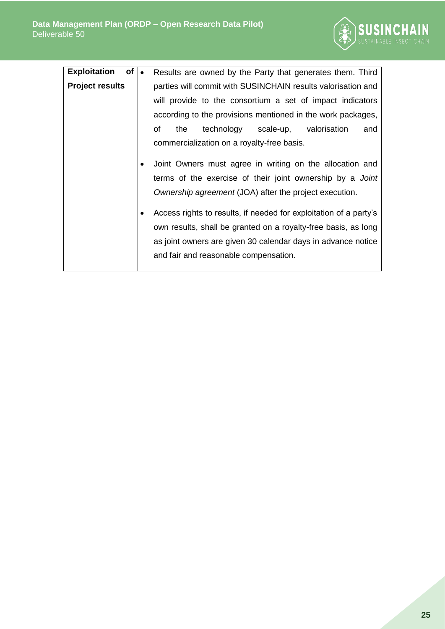

| of<br><b>Exploitation</b> | $\bullet$ | Results are owned by the Party that generates them. Third                                                                                                                                                                                         |
|---------------------------|-----------|---------------------------------------------------------------------------------------------------------------------------------------------------------------------------------------------------------------------------------------------------|
| <b>Project results</b>    |           | parties will commit with SUSINCHAIN results valorisation and<br>will provide to the consortium a set of impact indicators<br>according to the provisions mentioned in the work packages,<br>technology scale-up, valorisation<br>οf<br>the<br>and |
|                           |           | commercialization on a royalty-free basis.                                                                                                                                                                                                        |
|                           |           | Joint Owners must agree in writing on the allocation and<br>terms of the exercise of their joint ownership by a Joint<br>Ownership agreement (JOA) after the project execution.                                                                   |
|                           |           | Access rights to results, if needed for exploitation of a party's<br>own results, shall be granted on a royalty-free basis, as long<br>as joint owners are given 30 calendar days in advance notice<br>and fair and reasonable compensation.      |